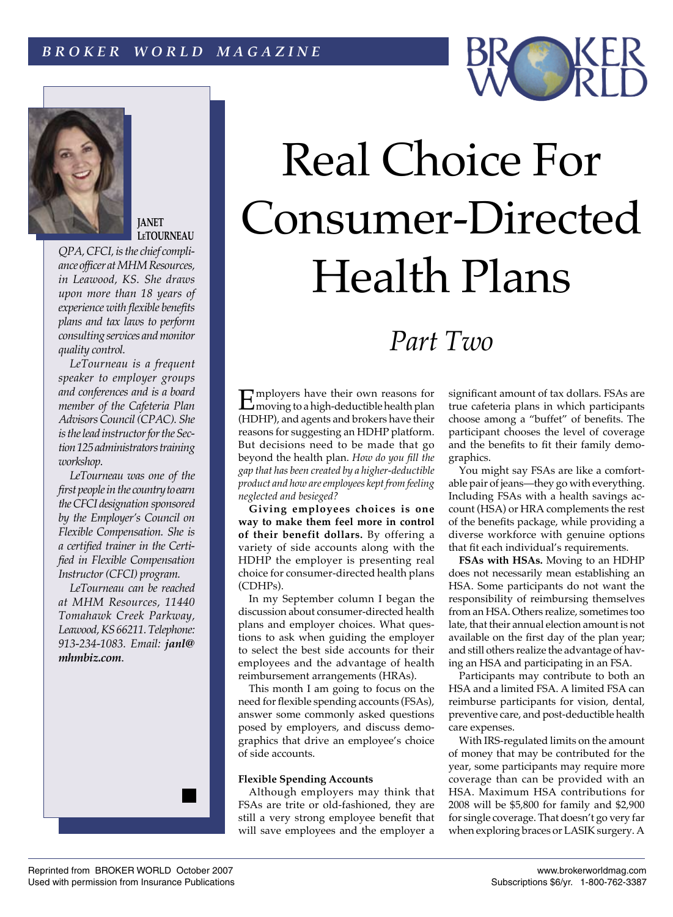



**JANET [LeTOURNEAU](http://www.mhmResources.com/kp_jl.htm)**

*QPA, CFCI, is the chief compliance officer at [MHM Resources,](http://www.mhmResources.com) in Leawood, KS. She draws upon more than 18 years of experience with flexible benefits plans and tax laws to perform consulting services and monitor quality control.*

*LeTourneau is a frequent speaker to employer groups and conferences and is a board member of the Cafeteria Plan Advisors Council (CPAC). She is the lead instructor for the Section 125 administrators training workshop.*

*LeTourneau was one of the first people in the country to earn the CFCI designation sponsored by the Employer's Council on Flexible Compensation. She is a certified trainer in the Certified in Flexible Compensation Instructor (CFCI) program.*

*LeTourneau can be reached at [MHM Resources,](http://www.mhmResources.com) 11440 Tomahawk Creek Parkway, Leawood, KS 66211. Telephone: 913-234-1083. Email: janl@ mhmbiz.com*.

# Real Choice For Consumer-Directed Health Plans

# *Part Two*

Employers have their own reasons for<br>
moving to a high-deductible health plan (HDHP), and agents and brokers have their reasons for suggesting an HDHP platform. But decisions need to be made that go beyond the health plan. *How do you fill the gap that has been created by a higher-deductible product and how are employees kept from feeling neglected and besieged?*

**Giving employees choices is one way to make them feel more in control of their benefit dollars.** By offering a variety of side accounts along with the HDHP the employer is presenting real choice for consumer-directed health plans (CDHPs).

In my September column I began the discussion about consumer-directed health plans and employer choices. What questions to ask when guiding the employer to select the best side accounts for their employees and the advantage of health reimbursement arrangements (HRAs).

This month I am going to focus on the need for flexible spending accounts (FSAs), answer some commonly asked questions posed by employers, and discuss demographics that drive an employee's choice of side accounts.

## **Flexible Spending Accounts**

Although employers may think that FSAs are trite or old-fashioned, they are still a very strong employee benefit that will save employees and the employer a significant amount of tax dollars. FSAs are true cafeteria plans in which participants choose among a "buffet" of benefits. The participant chooses the level of coverage and the benefits to fit their family demographics.

You might say FSAs are like a comfortable pair of jeans—they go with everything. Including FSAs with a health savings account (HSA) or HRA complements the rest of the benefits package, while providing a diverse workforce with genuine options that fit each individual's requirements.

**FSAs with HSAs.** Moving to an HDHP does not necessarily mean establishing an HSA. Some participants do not want the responsibility of reimbursing themselves from an HSA. Others realize, sometimes too late, that their annual election amount is not available on the first day of the plan year; and still others realize the advantage of having an HSA and participating in an FSA.

Participants may contribute to both an HSA and a limited FSA. A limited FSA can reimburse participants for vision, dental, preventive care, and post-deductible health care expenses.

With IRS-regulated limits on the amount of money that may be contributed for the year, some participants may require more coverage than can be provided with an HSA. Maximum HSA contributions for 2008 will be \$5,800 for family and \$2,900 for single coverage. That doesn't go very far when exploring braces or LASIK surgery. A